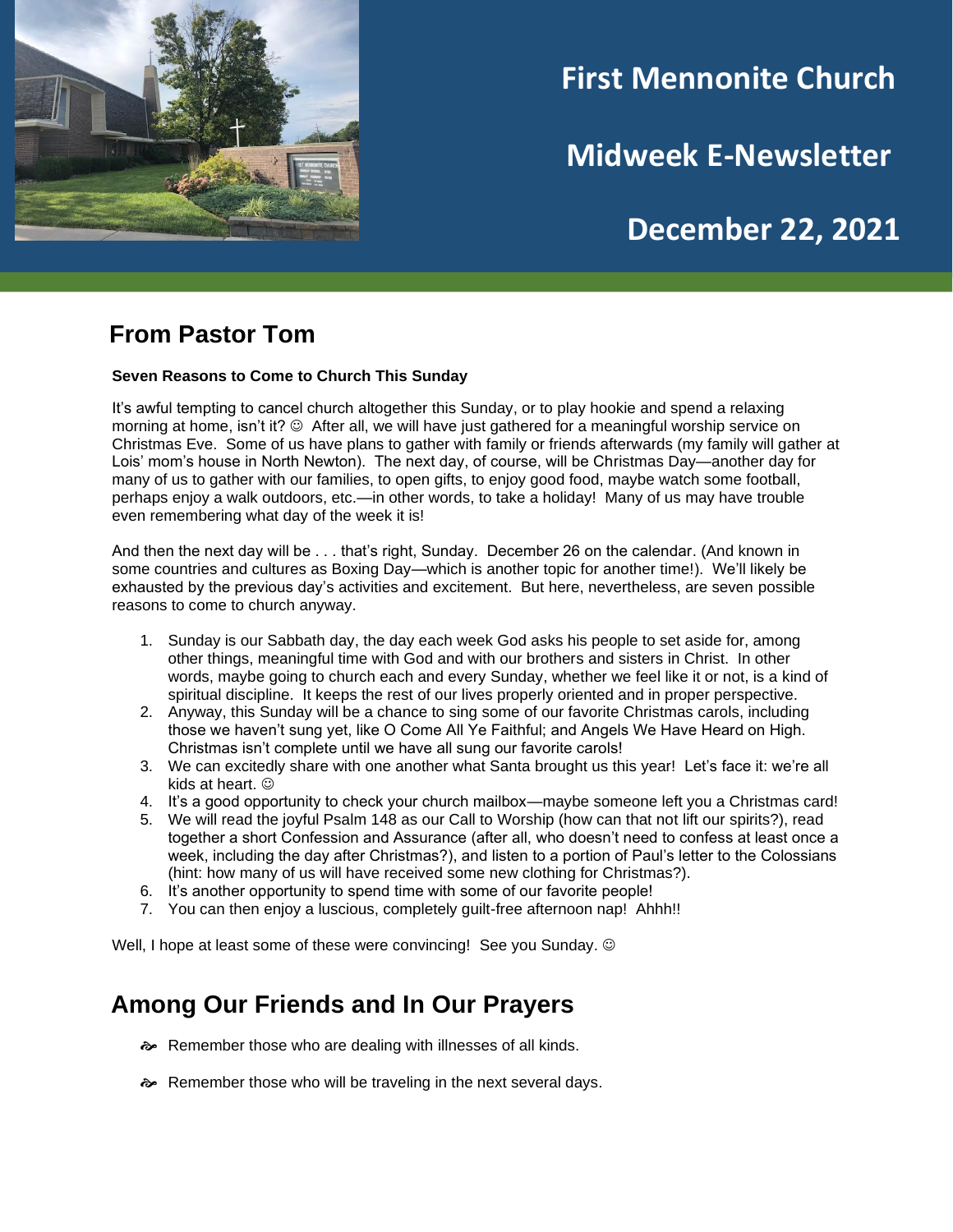

## **First Mennonite Church**

**Midweek E-Newsletter**

# **December 22, 2021**

### **From Pastor Tom**

#### **Seven Reasons to Come to Church This Sunday**

It's awful tempting to cancel church altogether this Sunday, or to play hookie and spend a relaxing morning at home, isn't it? © After all, we will have just gathered for a meaningful worship service on Christmas Eve. Some of us have plans to gather with family or friends afterwards (my family will gather at Lois' mom's house in North Newton). The next day, of course, will be Christmas Day—another day for many of us to gather with our families, to open gifts, to enjoy good food, maybe watch some football, perhaps enjoy a walk outdoors, etc.—in other words, to take a holiday! Many of us may have trouble even remembering what day of the week it is!

And then the next day will be . . . that's right, Sunday. December 26 on the calendar. (And known in some countries and cultures as Boxing Day—which is another topic for another time!). We'll likely be exhausted by the previous day's activities and excitement. But here, nevertheless, are seven possible reasons to come to church anyway.

- 1. Sunday is our Sabbath day, the day each week God asks his people to set aside for, among other things, meaningful time with God and with our brothers and sisters in Christ. In other words, maybe going to church each and every Sunday, whether we feel like it or not, is a kind of spiritual discipline. It keeps the rest of our lives properly oriented and in proper perspective.
- 2. Anyway, this Sunday will be a chance to sing some of our favorite Christmas carols, including those we haven't sung yet, like O Come All Ye Faithful; and Angels We Have Heard on High. Christmas isn't complete until we have all sung our favorite carols!
- 3. We can excitedly share with one another what Santa brought us this year! Let's face it: we're all kids at heart.  $\odot$
- 4. It's a good opportunity to check your church mailbox—maybe someone left you a Christmas card!
- 5. We will read the joyful Psalm 148 as our Call to Worship (how can that not lift our spirits?), read together a short Confession and Assurance (after all, who doesn't need to confess at least once a week, including the day after Christmas?), and listen to a portion of Paul's letter to the Colossians (hint: how many of us will have received some new clothing for Christmas?).
- 6. It's another opportunity to spend time with some of our favorite people!
- 7. You can then enjoy a luscious, completely guilt-free afternoon nap! Ahhh!!

Well, I hope at least some of these were convincing! See you Sunday.  $\circledcirc$ 

### **Among Our Friends and In Our Prayers**

- Remember those who are dealing with illnesses of all kinds.
- Remember those who will be traveling in the next several days.